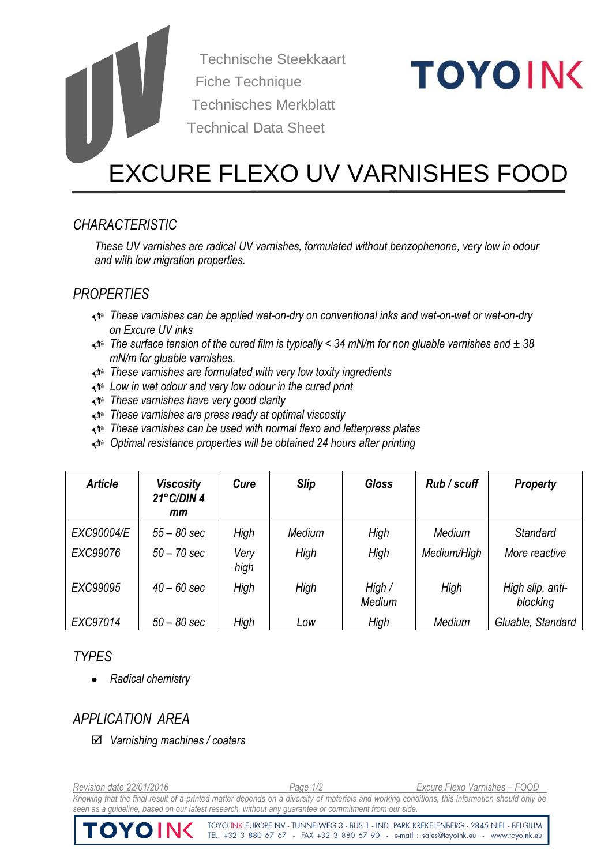Technische Steekkaart Fiche Technique Technisches Merkblatt Technical Data Sheet

# **TOYOING**

# EXCURE FLEXO UV VARNISHES FOOD

# *CHARACTERISTIC*

*These UV varnishes are radical UV varnishes, formulated without benzophenone, very low in odour and with low migration properties.*

# *PROPERTIES*

- *These varnishes can be applied wet-on-dry on conventional inks and wet-on-wet or wet-on-dry on Excure UV inks*
- *The surface tension of the cured film is typically < 34 mN/m for non gluable varnishes and ± 38 mN/m for gluable varnishes.*
- *These varnishes are formulated with very low toxity ingredients*
- *Low in wet odour and very low odour in the cured print*
- *These varnishes have very good clarity*
- *These varnishes are press ready at optimal viscosity*
- *These varnishes can be used with normal flexo and letterpress plates*
- *Optimal resistance properties will be obtained 24 hours after printing*

| <b>Article</b> | <b>Viscosity</b><br>$21^{\circ}$ C/DIN 4<br>mm | Cure         | <b>Slip</b> | <b>Gloss</b>     | Rub/scuff   | <b>Property</b>              |
|----------------|------------------------------------------------|--------------|-------------|------------------|-------------|------------------------------|
| EXC90004/E     | $55 - 80$ sec                                  | High         | Medium      | High             | Medium      | <b>Standard</b>              |
| EXC99076       | $50 - 70$ sec                                  | Very<br>high | High        | High             | Medium/High | More reactive                |
| EXC99095       | $40 - 60$ sec                                  | High         | High        | High /<br>Medium | High        | High slip, anti-<br>blocking |
| EXC97014       | $50 - 80$ sec                                  | High         | Low         | High             | Medium      | Gluable, Standard            |

# *TYPES*

*Radical chemistry*  $\bullet$ 

# *APPLICATION AREA*

*Varnishing machines / coaters*

*Revision date 22/01/2016 Page 1/2 Excure Flexo Varnishes – FOOD* Knowing that the final result of a printed matter depends on a diversity of materials and working conditions, this information should only be *seen as a guideline, based on our latest research, without any guarantee or commitment from our side.* 

> TOYO INK EUROPE NV - TUNNELWEG 3 - BUS 1 - IND. PARK KREKELENBERG - 2845 NIEL - BELGIUM TEL. +32 3 880 67 67 - FAX +32 3 880 67 90 - e-mail : sales@toyoink.eu - www.toyoink.eu